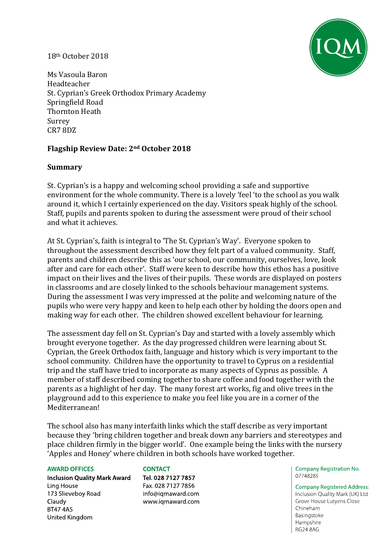#### 18th October 2018



Ms Vasoula Baron Headteacher St. Cyprian's Greek Orthodox Primary Academy Springfield Road Thornton Heath Surrey CR7 8DZ

# **Flagship Review Date: 2nd October 2018**

#### **Summary**

St. Cyprian's is a happy and welcoming school providing a safe and supportive environment for the whole community. There is a lovely 'feel 'to the school as you walk around it, which I certainly experienced on the day. Visitors speak highly of the school. Staff, pupils and parents spoken to during the assessment were proud of their school and what it achieves.

At St. Cyprian's, faith is integral to 'The St. Cyprian's Way'. Everyone spoken to throughout the assessment described how they felt part of a valued community. Staff, parents and children describe this as 'our school, our community, ourselves, love, look after and care for each other'. Staff were keen to describe how this ethos has a positive impact on their lives and the lives of their pupils. These words are displayed on posters in classrooms and are closely linked to the schools behaviour management systems. During the assessment I was very impressed at the polite and welcoming nature of the pupils who were very happy and keen to help each other by holding the doors open and making way for each other. The children showed excellent behaviour for learning.

The assessment day fell on St. Cyprian's Day and started with a lovely assembly which brought everyone together. As the day progressed children were learning about St. Cyprian, the Greek Orthodox faith, language and history which is very important to the school community. Children have the opportunity to travel to Cyprus on a residential trip and the staff have tried to incorporate as many aspects of Cyprus as possible. A member of staff described coming together to share coffee and food together with the parents as a highlight of her day. The many forest art works, fig and olive trees in the playground add to this experience to make you feel like you are in a corner of the Mediterranean!

The school also has many interfaith links which the staff describe as very important because they 'bring children together and break down any barriers and stereotypes and place children firmly in the bigger world'. One example being the links with the nursery 'Apples and Honey' where children in both schools have worked together.

#### **AWARD OFFICES**

**Inclusion Quality Mark Award** Ling House 173 Slieveboy Road Claudy **BT47 4AS** United Kingdom

#### **CONTACT**

Tel. 028 7127 7857 Fax. 028 7127 7856 info@igmaward.com www.iqmaward.com Company Registration No. 07748285

**Company Registered Address:** Inclusion Quality Mark (UK) Ltd Grove House Lutyens Close Chineham Basingstoke Hampshire **RG24 8AG**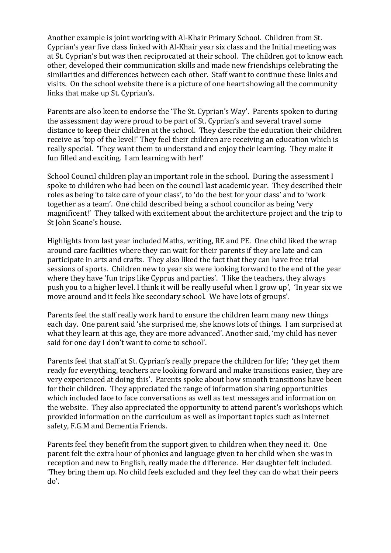Another example is joint working with Al-Khair Primary School. Children from St. Cyprian's year five class linked with Al-Khair year six class and the Initial meeting was at St. Cyprian's but was then reciprocated at their school. The children got to know each other, developed their communication skills and made new friendships celebrating the similarities and differences between each other. Staff want to continue these links and visits. On the school website there is a picture of one heart showing all the community links that make up St. Cyprian's.

Parents are also keen to endorse the 'The St. Cyprian's Way'. Parents spoken to during the assessment day were proud to be part of St. Cyprian's and several travel some distance to keep their children at the school. They describe the education their children receive as 'top of the level!' They feel their children are receiving an education which is really special. 'They want them to understand and enjoy their learning. They make it fun filled and exciting. I am learning with her!'

School Council children play an important role in the school. During the assessment I spoke to children who had been on the council last academic year. They described their roles as being 'to take care of your class', to 'do the best for your class' and to 'work together as a team'. One child described being a school councilor as being 'very magnificent!' They talked with excitement about the architecture project and the trip to St John Soane's house.

Highlights from last year included Maths, writing, RE and PE. One child liked the wrap around care facilities where they can wait for their parents if they are late and can participate in arts and crafts. They also liked the fact that they can have free trial sessions of sports. Children new to year six were looking forward to the end of the year where they have 'fun trips like Cyprus and parties'. 'I like the teachers, they always push you to a higher level. I think it will be really useful when I grow up', 'In year six we move around and it feels like secondary school. We have lots of groups'.

Parents feel the staff really work hard to ensure the children learn many new things each day. One parent said 'she surprised me, she knows lots of things. I am surprised at what they learn at this age, they are more advanced'. Another said, 'my child has never said for one day I don't want to come to school'.

Parents feel that staff at St. Cyprian's really prepare the children for life; 'they get them ready for everything, teachers are looking forward and make transitions easier, they are very experienced at doing this'. Parents spoke about how smooth transitions have been for their children. They appreciated the range of information sharing opportunities which included face to face conversations as well as text messages and information on the website. They also appreciated the opportunity to attend parent's workshops which provided information on the curriculum as well as important topics such as internet safety, F.G.M and Dementia Friends.

Parents feel they benefit from the support given to children when they need it. One parent felt the extra hour of phonics and language given to her child when she was in reception and new to English, really made the difference. Her daughter felt included. 'They bring them up. No child feels excluded and they feel they can do what their peers do'.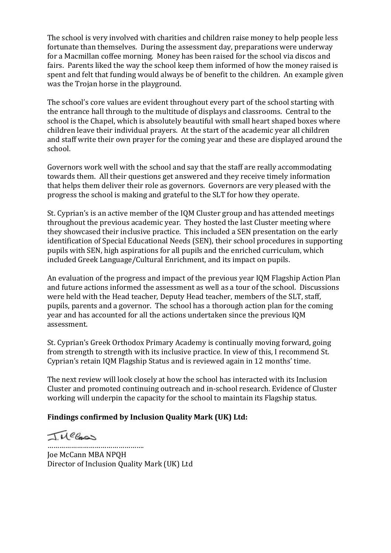The school is very involved with charities and children raise money to help people less fortunate than themselves. During the assessment day, preparations were underway for a Macmillan coffee morning. Money has been raised for the school via discos and fairs. Parents liked the way the school keep them informed of how the money raised is spent and felt that funding would always be of benefit to the children. An example given was the Trojan horse in the playground.

The school's core values are evident throughout every part of the school starting with the entrance hall through to the multitude of displays and classrooms. Central to the school is the Chapel, which is absolutely beautiful with small heart shaped boxes where children leave their individual prayers. At the start of the academic year all children and staff write their own prayer for the coming year and these are displayed around the school.

Governors work well with the school and say that the staff are really accommodating towards them. All their questions get answered and they receive timely information that helps them deliver their role as governors. Governors are very pleased with the progress the school is making and grateful to the SLT for how they operate.

St. Cyprian's is an active member of the IQM Cluster group and has attended meetings throughout the previous academic year. They hosted the last Cluster meeting where they showcased their inclusive practice. This included a SEN presentation on the early identification of Special Educational Needs (SEN), their school procedures in supporting pupils with SEN, high aspirations for all pupils and the enriched curriculum, which included Greek Language/Cultural Enrichment, and its impact on pupils.

An evaluation of the progress and impact of the previous year IQM Flagship Action Plan and future actions informed the assessment as well as a tour of the school. Discussions were held with the Head teacher, Deputy Head teacher, members of the SLT, staff, pupils, parents and a governor. The school has a thorough action plan for the coming year and has accounted for all the actions undertaken since the previous IQM assessment.

St. Cyprian's Greek Orthodox Primary Academy is continually moving forward, going from strength to strength with its inclusive practice. In view of this, I recommend St. Cyprian's retain IQM Flagship Status and is reviewed again in 12 months' time.

The next review will look closely at how the school has interacted with its Inclusion Cluster and promoted continuing outreach and in-school research. Evidence of Cluster working will underpin the capacity for the school to maintain its Flagship status.

#### **Findings confirmed by Inclusion Quality Mark (UK) Ltd:**

JMelass

…………………………………………. Joe McCann MBA NPQH Director of Inclusion Quality Mark (UK) Ltd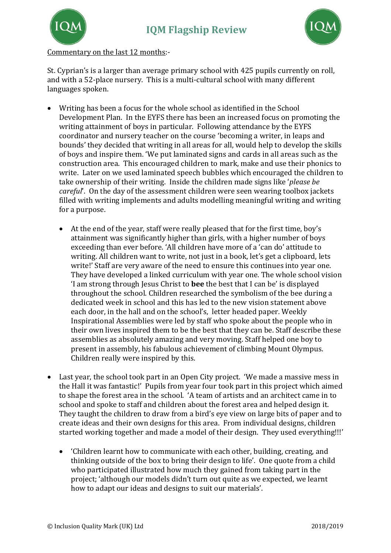



Commentary on the last 12 months:-

St. Cyprian's is a larger than average primary school with 425 pupils currently on roll, and with a 52-place nursery. This is a multi-cultural school with many different languages spoken.

- Writing has been a focus for the whole school as identified in the School Development Plan. In the EYFS there has been an increased focus on promoting the writing attainment of boys in particular. Following attendance by the EYFS coordinator and nursery teacher on the course 'becoming a writer, in leaps and bounds' they decided that writing in all areas for all, would help to develop the skills of boys and inspire them. 'We put laminated signs and cards in all areas such as the construction area. This encouraged children to mark, make and use their phonics to write. Later on we used laminated speech bubbles which encouraged the children to take ownership of their writing. Inside the children made signs like '*please be careful*'. On the day of the assessment children were seen wearing toolbox jackets filled with writing implements and adults modelling meaningful writing and writing for a purpose.
	- At the end of the year, staff were really pleased that for the first time, boy's attainment was significantly higher than girls, with a higher number of boys exceeding than ever before. 'All children have more of a 'can do' attitude to writing. All children want to write, not just in a book, let's get a clipboard, lets write!' Staff are very aware of the need to ensure this continues into year one. They have developed a linked curriculum with year one. The whole school vision 'I am strong through Jesus Christ to **bee** the best that I can be' is displayed throughout the school. Children researched the symbolism of the bee during a dedicated week in school and this has led to the new vision statement above each door, in the hall and on the school's, letter headed paper. Weekly Inspirational Assemblies were led by staff who spoke about the people who in their own lives inspired them to be the best that they can be. Staff describe these assemblies as absolutely amazing and very moving. Staff helped one boy to present in assembly, his fabulous achievement of climbing Mount Olympus. Children really were inspired by this.
- Last year, the school took part in an Open City project. 'We made a massive mess in the Hall it was fantastic!' Pupils from year four took part in this project which aimed to shape the forest area in the school. 'A team of artists and an architect came in to school and spoke to staff and children about the forest area and helped design it. They taught the children to draw from a bird's eye view on large bits of paper and to create ideas and their own designs for this area. From individual designs, children started working together and made a model of their design. They used everything!!!'
	- 'Children learnt how to communicate with each other, building, creating, and thinking outside of the box to bring their design to life'. One quote from a child who participated illustrated how much they gained from taking part in the project; 'although our models didn't turn out quite as we expected, we learnt how to adapt our ideas and designs to suit our materials'.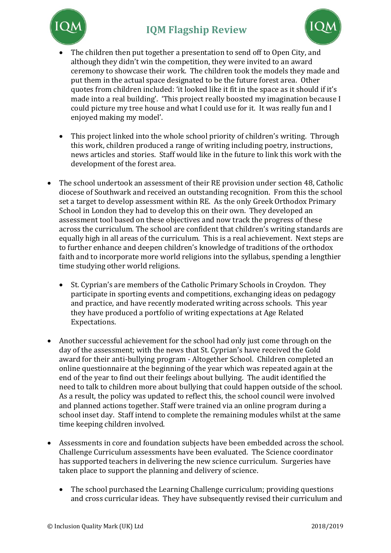# **IQM Flagship Review**





- The children then put together a presentation to send off to Open City, and although they didn't win the competition, they were invited to an award ceremony to showcase their work. The children took the models they made and put them in the actual space designated to be the future forest area. Other quotes from children included: 'it looked like it fit in the space as it should if it's made into a real building'. 'This project really boosted my imagination because I could picture my tree house and what I could use for it. It was really fun and I enjoyed making my model'.
- This project linked into the whole school priority of children's writing. Through this work, children produced a range of writing including poetry, instructions, news articles and stories. Staff would like in the future to link this work with the development of the forest area.
- The school undertook an assessment of their RE provision under section 48, Catholic diocese of Southwark and received an outstanding recognition. From this the school set a target to develop assessment within RE. As the only Greek Orthodox Primary School in London they had to develop this on their own. They developed an assessment tool based on these objectives and now track the progress of these across the curriculum. The school are confident that children's writing standards are equally high in all areas of the curriculum. This is a real achievement. Next steps are to further enhance and deepen children's knowledge of traditions of the orthodox faith and to incorporate more world religions into the syllabus, spending a lengthier time studying other world religions.
	- St. Cyprian's are members of the Catholic Primary Schools in Croydon. They participate in sporting events and competitions, exchanging ideas on pedagogy and practice, and have recently moderated writing across schools. This year they have produced a portfolio of writing expectations at Age Related Expectations.
- Another successful achievement for the school had only just come through on the day of the assessment; with the news that St. Cyprian's have received the Gold award for their anti-bullying program - Altogether School. Children completed an online questionnaire at the beginning of the year which was repeated again at the end of the year to find out their feelings about bullying. The audit identified the need to talk to children more about bullying that could happen outside of the school. As a result, the policy was updated to reflect this, the school council were involved and planned actions together. Staff were trained via an online program during a school inset day. Staff intend to complete the remaining modules whilst at the same time keeping children involved.
- Assessments in core and foundation subjects have been embedded across the school. Challenge Curriculum assessments have been evaluated. The Science coordinator has supported teachers in delivering the new science curriculum. Surgeries have taken place to support the planning and delivery of science.
	- The school purchased the Learning Challenge curriculum; providing questions and cross curricular ideas. They have subsequently revised their curriculum and